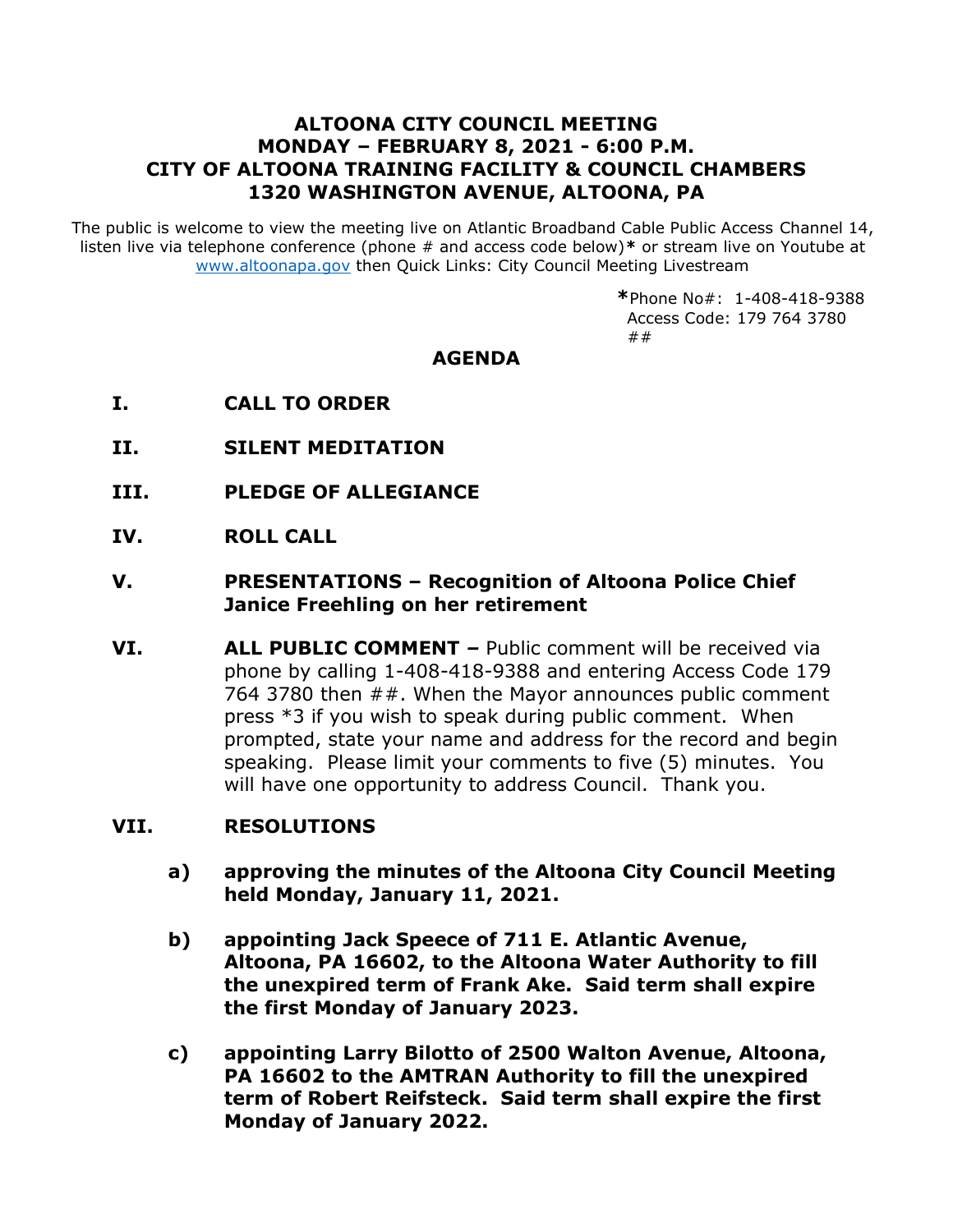# **ALTOONA CITY COUNCIL MEETING MONDAY – FEBRUARY 8, 2021 - 6:00 P.M. CITY OF ALTOONA TRAINING FACILITY & COUNCIL CHAMBERS 1320 WASHINGTON AVENUE, ALTOONA, PA**

The public is welcome to view the meeting live on Atlantic Broadband Cable Public Access Channel 14, listen live via telephone conference (phone # and access code below)**\*** or stream live on Youtube at [www.altoonapa.gov](http://www.altoonapa.gov/) then Quick Links: City Council Meeting Livestream

> **\***Phone No#: 1-408-418-9388 Access Code: 179 764 3780 ##

## **AGENDA**

- **I. CALL TO ORDER**
- **II. SILENT MEDITATION**
- **III. PLEDGE OF ALLEGIANCE**
- **IV. ROLL CALL**

## **V. PRESENTATIONS – Recognition of Altoona Police Chief Janice Freehling on her retirement**

**VI. ALL PUBLIC COMMENT** *–* Public comment will be received via phone by calling 1-408-418-9388 and entering Access Code 179 764 3780 then ##. When the Mayor announces public comment press \*3 if you wish to speak during public comment. When prompted, state your name and address for the record and begin speaking. Please limit your comments to five (5) minutes. You will have one opportunity to address Council. Thank you.

#### **VII. RESOLUTIONS**

- **a) approving the minutes of the Altoona City Council Meeting held Monday, January 11, 2021.**
- **b) appointing Jack Speece of 711 E. Atlantic Avenue, Altoona, PA 16602, to the Altoona Water Authority to fill the unexpired term of Frank Ake. Said term shall expire the first Monday of January 2023.**
- **c) appointing Larry Bilotto of 2500 Walton Avenue, Altoona, PA 16602 to the AMTRAN Authority to fill the unexpired term of Robert Reifsteck. Said term shall expire the first Monday of January 2022.**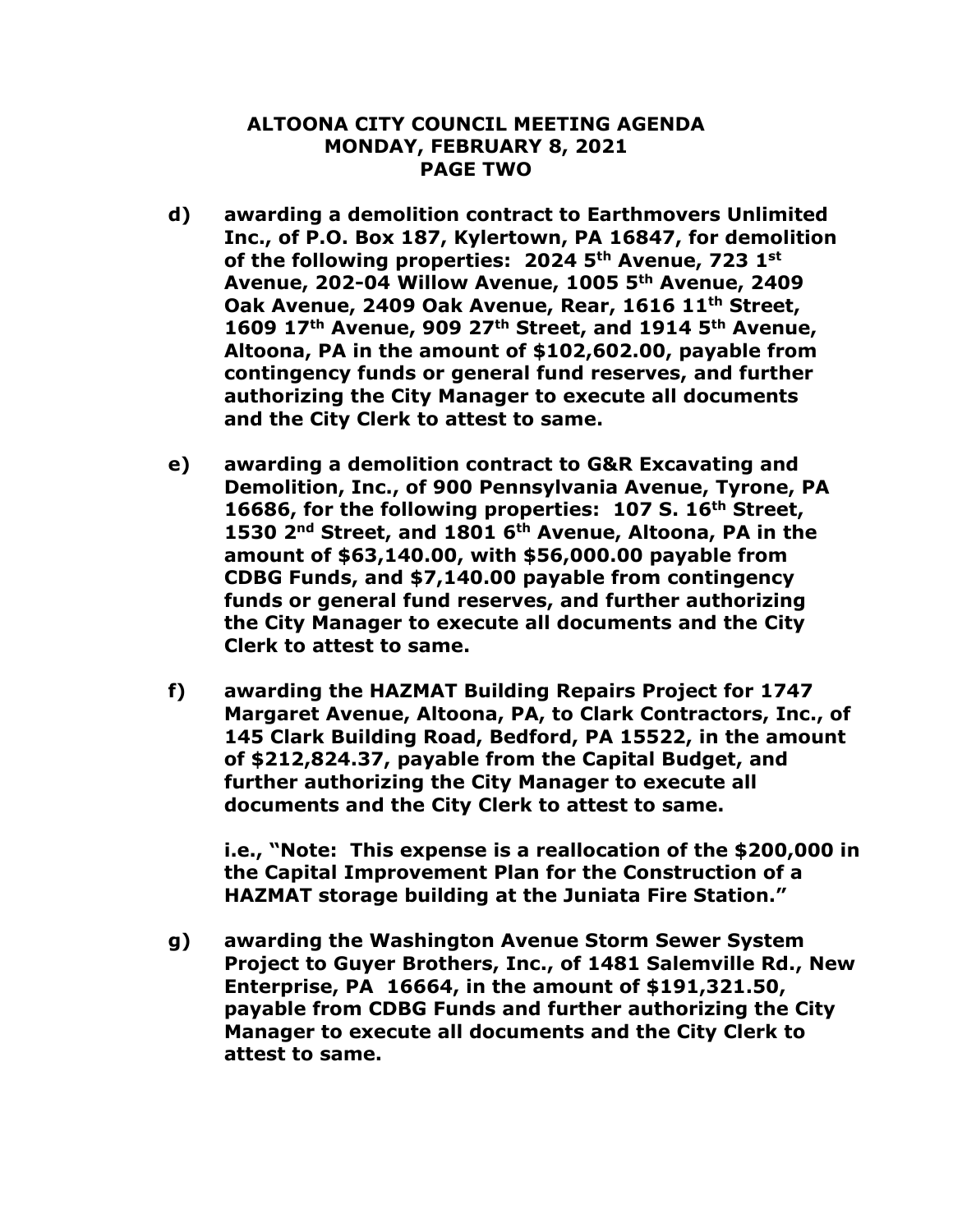### **ALTOONA CITY COUNCIL MEETING AGENDA MONDAY, FEBRUARY 8, 2021 PAGE TWO**

- **d) awarding a demolition contract to Earthmovers Unlimited Inc., of P.O. Box 187, Kylertown, PA 16847, for demolition of the following properties: 2024 5th Avenue, 723 1st Avenue, 202-04 Willow Avenue, 1005 5th Avenue, 2409 Oak Avenue, 2409 Oak Avenue, Rear, 1616 11th Street, 1609 17th Avenue, 909 27th Street, and 1914 5th Avenue, Altoona, PA in the amount of \$102,602.00, payable from contingency funds or general fund reserves, and further authorizing the City Manager to execute all documents and the City Clerk to attest to same.**
- **e) awarding a demolition contract to G&R Excavating and Demolition, Inc., of 900 Pennsylvania Avenue, Tyrone, PA 16686, for the following properties: 107 S. 16th Street, 1530 2nd Street, and 1801 6th Avenue, Altoona, PA in the amount of \$63,140.00, with \$56,000.00 payable from CDBG Funds, and \$7,140.00 payable from contingency funds or general fund reserves, and further authorizing the City Manager to execute all documents and the City Clerk to attest to same.**
- **f) awarding the HAZMAT Building Repairs Project for 1747 Margaret Avenue, Altoona, PA, to Clark Contractors, Inc., of 145 Clark Building Road, Bedford, PA 15522, in the amount of \$212,824.37, payable from the Capital Budget, and further authorizing the City Manager to execute all documents and the City Clerk to attest to same.**

**i.e., "Note: This expense is a reallocation of the \$200,000 in the Capital Improvement Plan for the Construction of a HAZMAT storage building at the Juniata Fire Station."**

**g) awarding the Washington Avenue Storm Sewer System Project to Guyer Brothers, Inc., of 1481 Salemville Rd., New Enterprise, PA 16664, in the amount of \$191,321.50, payable from CDBG Funds and further authorizing the City Manager to execute all documents and the City Clerk to attest to same.**